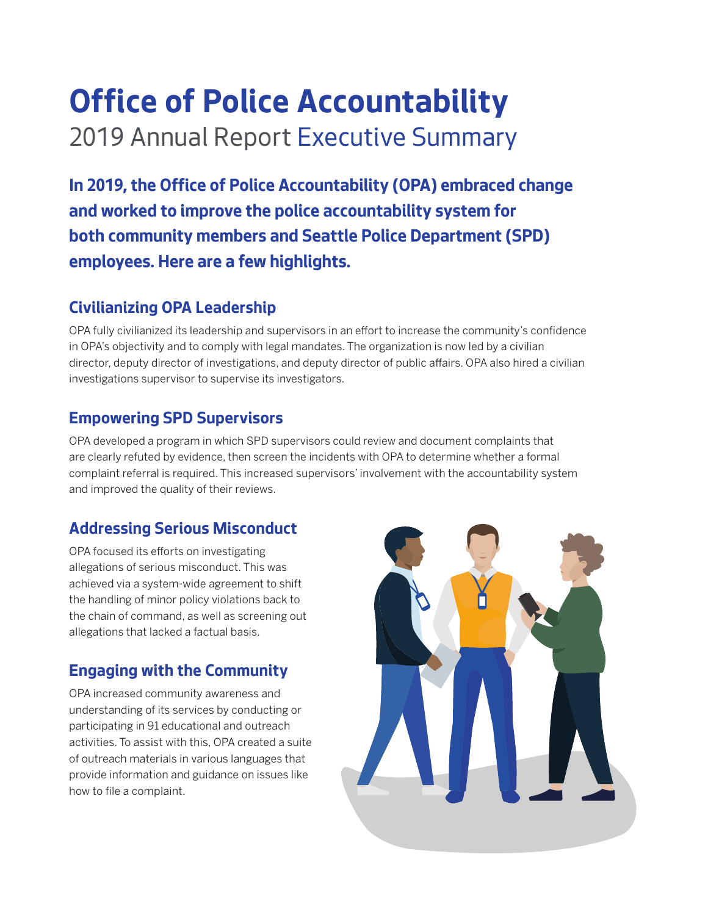## **Office of Police Accountability** 2019 Annual Report Executive Summary

**In 2019, the Office of Police Accountability (OPA) embraced change and worked to improve the police accountability system for both community members and Seattle Police Department (SPD) employees. Here are a few highlights.**

### **Civilianizing OPA Leadership**

OPA fully civilianized its leadership and supervisors in an effort to increase the community's confidence in OPA's objectivity and to comply with legal mandates. The organization is now led by a civilian director, deputy director of investigations, and deputy director of public affairs. OPA also hired a civilian investigations supervisor to supervise its investigators.

#### **Empowering SPD Supervisors**

OPA developed a program in which SPD supervisors could review and document complaints that are clearly refuted by evidence, then screen the incidents with OPA to determine whether a formal complaint referral is required. This increased supervisors' involvement with the accountability system and improved the quality of their reviews.

### **Addressing Serious Misconduct**

OPA focused its efforts on investigating allegations of serious misconduct. This was achieved via a system-wide agreement to shift the handling of minor policy violations back to the chain of command, as well as screening out allegations that lacked a factual basis.

### **Engaging with the Community**

OPA increased community awareness and understanding of its services by conducting or participating in 91 educational and outreach activities. To assist with this, OPA created a suite of outreach materials in various languages that provide information and guidance on issues like how to file a complaint.